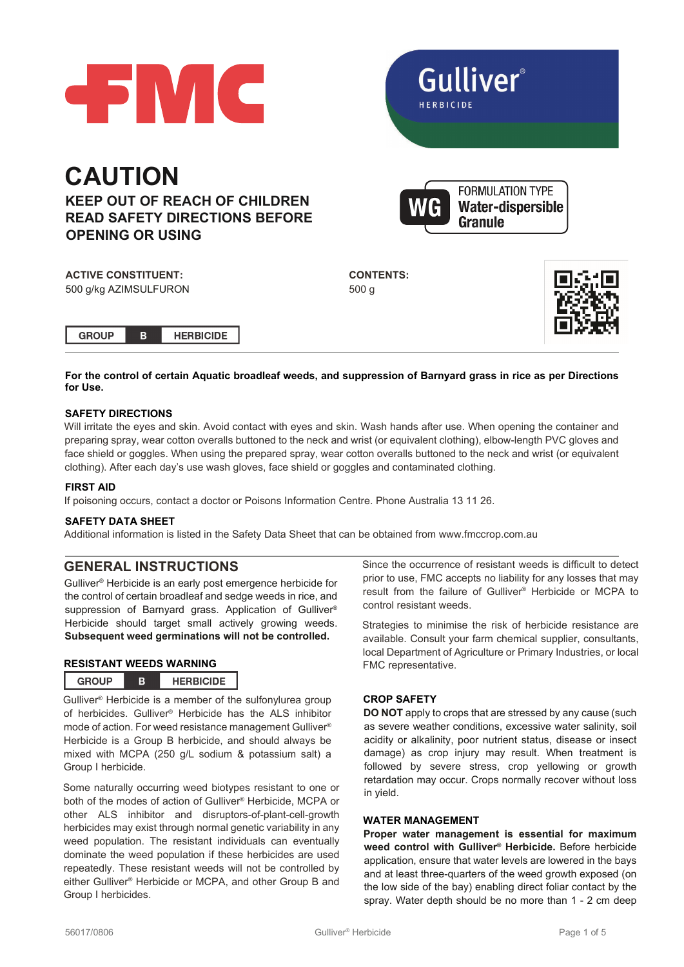

**Gulliver**®

**FORMULATION TYPE Water-dispersible** 



Granule

**ACTIVE CONSTITUENT:** 500 g/kg AZIMSULFURON **CONTENTS:** 500 g



**For the control of certain Aquatic broadleaf weeds, and suppression of Barnyard grass in rice as per Directions for Use.**

## **SAFETY DIRECTIONS**

Will irritate the eyes and skin. Avoid contact with eyes and skin. Wash hands after use. When opening the container and preparing spray, wear cotton overalls buttoned to the neck and wrist (or equivalent clothing), elbow-length PVC gloves and face shield or goggles. When using the prepared spray, wear cotton overalls buttoned to the neck and wrist (or equivalent clothing). After each day's use wash gloves, face shield or goggles and contaminated clothing.

## **FIRST AID**

If poisoning occurs, contact a doctor or Poisons Information Centre. Phone Australia 13 11 26.

#### **SAFETY DATA SHEET**

Additional information is listed in the Safety Data Sheet that can be obtained from www.fmccrop.com.au

## **GENERAL INSTRUCTIONS**

Gulliver® Herbicide is an early post emergence herbicide for the control of certain broadleaf and sedge weeds in rice, and suppression of Barnyard grass. Application of Gulliver® Herbicide should target small actively growing weeds. **Subsequent weed germinations will not be controlled.**

## **RESISTANT WEEDS WARNING**

| <b>GROUP</b> |  | <b>HERBICIDE</b> |
|--------------|--|------------------|
|--------------|--|------------------|

Gulliver® Herbicide is a member of the sulfonylurea group of herbicides. Gulliver® Herbicide has the ALS inhibitor mode of action. For weed resistance management Gulliver® Herbicide is a Group B herbicide, and should always be mixed with MCPA (250 g/L sodium & potassium salt) a Group I herbicide.

Some naturally occurring weed biotypes resistant to one or both of the modes of action of Gulliver® Herbicide, MCPA or other ALS inhibitor and disruptors-of-plant-cell-growth herbicides may exist through normal genetic variability in any weed population. The resistant individuals can eventually dominate the weed population if these herbicides are used repeatedly. These resistant weeds will not be controlled by either Gulliver® Herbicide or MCPA, and other Group B and Group I herbicides.

Since the occurrence of resistant weeds is difficult to detect prior to use, FMC accepts no liability for any losses that may result from the failure of Gulliver® Herbicide or MCPA to control resistant weeds.

Strategies to minimise the risk of herbicide resistance are available. Consult your farm chemical supplier, consultants, local Department of Agriculture or Primary Industries, or local FMC representative.

## **CROP SAFETY**

**DO NOT** apply to crops that are stressed by any cause (such as severe weather conditions, excessive water salinity, soil acidity or alkalinity, poor nutrient status, disease or insect damage) as crop injury may result. When treatment is followed by severe stress, crop yellowing or growth retardation may occur. Crops normally recover without loss in yield.

## **WATER MANAGEMENT**

**Proper water management is essential for maximum weed control with Gulliver® Herbicide.** Before herbicide application, ensure that water levels are lowered in the bays and at least three-quarters of the weed growth exposed (on the low side of the bay) enabling direct foliar contact by the spray. Water depth should be no more than 1 - 2 cm deep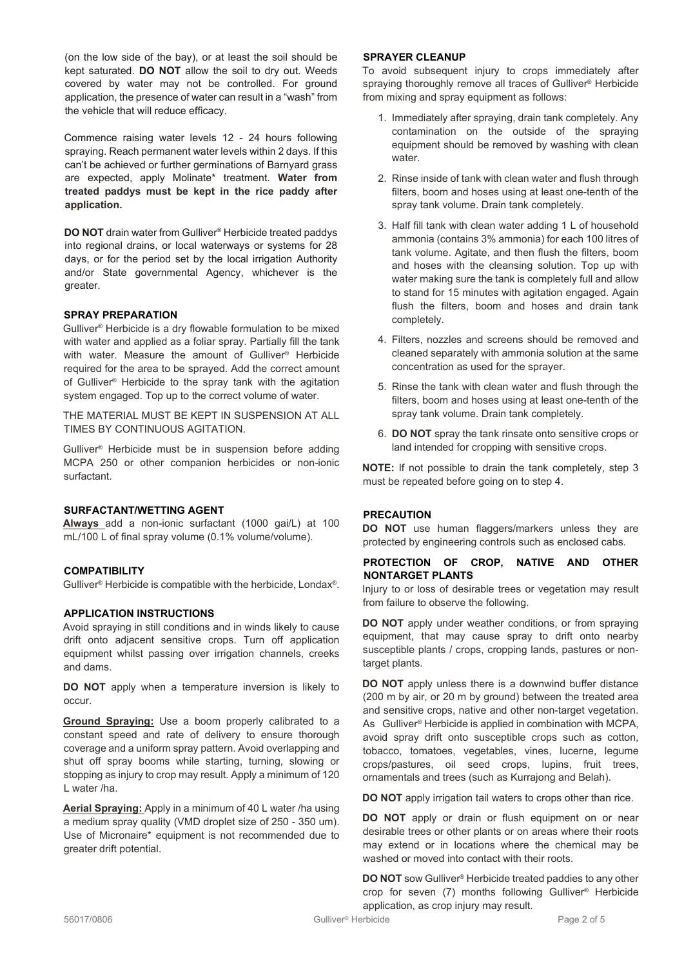(on the low side of the bay), or at least the soil should be kept saturated. **DO NOT** allow the soil to dry out. Weeds covered by water may not be controlled. For ground application, the presence of water can result in a "wash" from the vehicle that will reduce efficacy.

Commence raising water levels 12 - 24 hours following spraying. Reach permanent water levels within 2 days. If this can't be achieved or further germinations of Barnyard grass are expected, apply Molinate\* treatment. **Water from treated paddys must be kept in the rice paddy after application.**

**DO NOT** drain water from Gulliver® Herbicide treated paddys into regional drains, or local waterways or systems for 28 days, or for the period set by the local irrigation Authority and/or State governmental Agency, whichever is the greater.

#### **SPRAY PREPARATION**

Gulliver® Herbicide is a dry flowable formulation to be mixed with water and applied as a foliar spray. Partially fill the tank with water. Measure the amount of Gulliver® Herbicide required for the area to be sprayed. Add the correct amount of Gulliver® Herbicide to the spray tank with the agitation system engaged. Top up to the correct volume of water.

THE MATERIAL MUST BE KEPT IN SUSPENSION AT ALL TIMES BY CONTINUOUS AGITATION.

Gulliver® Herbicide must be in suspension before adding MCPA 250 or other companion herbicides or non-ionic surfactant.

## **SURFACTANT/WETTING AGENT**

**Always** add a non-ionic surfactant (1000 gai/L) at 100 mL/100 L of final spray volume (0.1% volume/volume).

### **COMPATIBILITY**

Gulliver® Herbicide is compatible with the herbicide, Londax®.

#### **APPLICATION INSTRUCTIONS**

Avoid spraying in still conditions and in winds likely to cause drift onto adjacent sensitive crops. Turn off application equipment whilst passing over irrigation channels, creeks and dams.

**DO NOT** apply when a temperature inversion is likely to occur.

**Ground Spraying:** Use a boom properly calibrated to a constant speed and rate of delivery to ensure thorough coverage and a uniform spray pattern. Avoid overlapping and shut off spray booms while starting, turning, slowing or stopping as injury to crop may result. Apply a minimum of 120 L water /ha.

**Aerial Spraying:** Apply in a minimum of 40 L water /ha using a medium spray quality (VMD droplet size of 250 - 350 um). Use of Micronaire\* equipment is not recommended due to greater drift potential.

#### **SPRAYER CLEANUP**

To avoid subsequent injury to crops immediately after spraying thoroughly remove all traces of Gulliver® Herbicide from mixing and spray equipment as follows:

- 1. Immediately after spraying, drain tank completely. Any contamination on the outside of the spraying equipment should be removed by washing with clean water.
- 2. Rinse inside of tank with clean water and flush through filters, boom and hoses using at least one-tenth of the spray tank volume. Drain tank completely.
- 3. Half fill tank with clean water adding 1 L of household ammonia (contains 3% ammonia) for each 100 litres of tank volume. Agitate, and then flush the filters, boom and hoses with the cleansing solution. Top up with water making sure the tank is completely full and allow to stand for 15 minutes with agitation engaged. Again flush the filters, boom and hoses and drain tank completely.
- 4. Filters, nozzles and screens should be removed and cleaned separately with ammonia solution at the same concentration as used for the sprayer.
- 5. Rinse the tank with clean water and flush through the filters, boom and hoses using at least one-tenth of the spray tank volume. Drain tank completely.
- 6. **DO NOT** spray the tank rinsate onto sensitive crops or land intended for cropping with sensitive crops.

**NOTE:** If not possible to drain the tank completely, step 3 must be repeated before going on to step 4.

#### **PRECAUTION**

**DO NOT** use human flaggers/markers unless they are protected by engineering controls such as enclosed cabs.

## **PROTECTION OF CROP, NATIVE AND OTHER NONTARGET PLANTS**

Injury to or loss of desirable trees or vegetation may result from failure to observe the following.

**DO NOT** apply under weather conditions, or from spraying equipment, that may cause spray to drift onto nearby susceptible plants / crops, cropping lands, pastures or nontarget plants.

**DO NOT** apply unless there is a downwind buffer distance (200 m by air, or 20 m by ground) between the treated area and sensitive crops, native and other non-target vegetation. As Gulliver® Herbicide is applied in combination with MCPA, avoid spray drift onto susceptible crops such as cotton, tobacco, tomatoes, vegetables, vines, lucerne, legume crops/pastures, oil seed crops, lupins, fruit trees, ornamentals and trees (such as Kurrajong and Belah).

**DO NOT** apply irrigation tail waters to crops other than rice.

**DO NOT** apply or drain or flush equipment on or near desirable trees or other plants or on areas where their roots may extend or in locations where the chemical may be washed or moved into contact with their roots.

**DO NOT** sow Gulliver® Herbicide treated paddies to any other crop for seven (7) months following Gulliver® Herbicide application, as crop injury may result.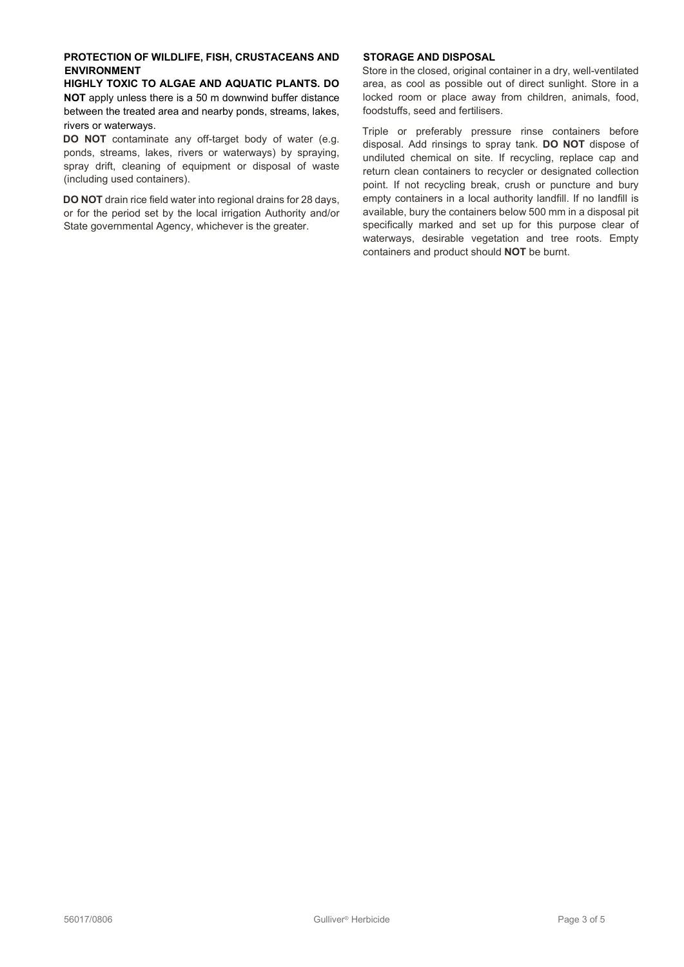### **PROTECTION OF WILDLIFE, FISH, CRUSTACEANS AND ENVIRONMENT**

**HIGHLY TOXIC TO ALGAE AND AQUATIC PLANTS. DO NOT** apply unless there is a 50 m downwind buffer distance between the treated area and nearby ponds, streams, lakes, rivers or waterways.

**DO NOT** contaminate any off-target body of water (e.g. ponds, streams, lakes, rivers or waterways) by spraying, spray drift, cleaning of equipment or disposal of waste (including used containers).

**DO NOT** drain rice field water into regional drains for 28 days, or for the period set by the local irrigation Authority and/or State governmental Agency, whichever is the greater.

## **STORAGE AND DISPOSAL**

Store in the closed, original container in a dry, well-ventilated area, as cool as possible out of direct sunlight. Store in a locked room or place away from children, animals, food, foodstuffs, seed and fertilisers.

Triple or preferably pressure rinse containers before disposal. Add rinsings to spray tank. **DO NOT** dispose of undiluted chemical on site. If recycling, replace cap and return clean containers to recycler or designated collection point. If not recycling break, crush or puncture and bury empty containers in a local authority landfill. If no landfill is available, bury the containers below 500 mm in a disposal pit specifically marked and set up for this purpose clear of waterways, desirable vegetation and tree roots. Empty containers and product should **NOT** be burnt.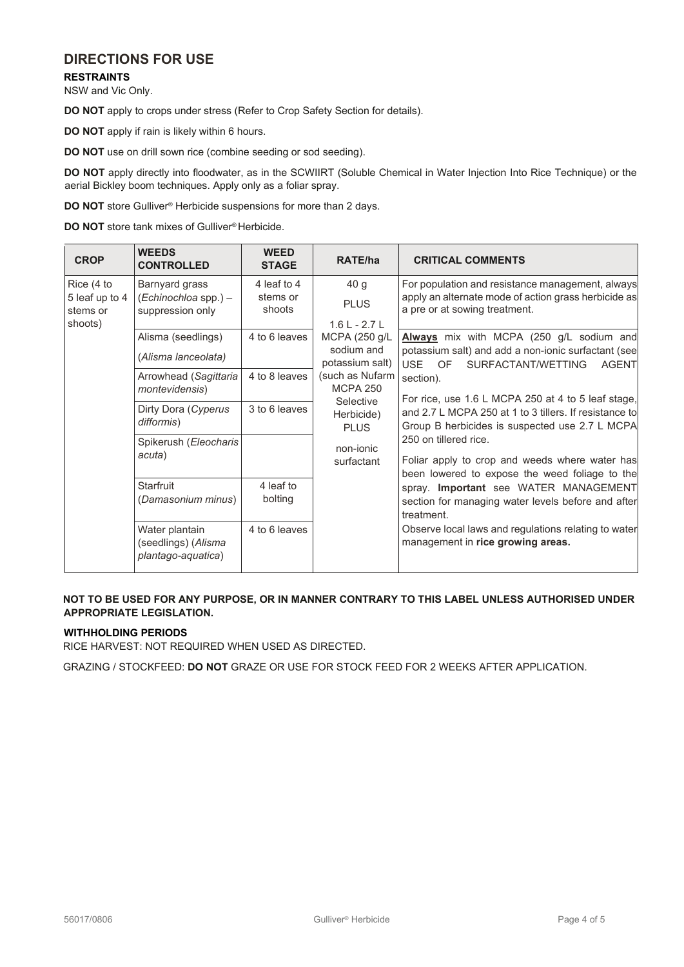# **DIRECTIONS FOR USE**

**RESTRAINTS**

NSW and Vic Only.

**DO NOT** apply to crops under stress (Refer to Crop Safety Section for details).

**DO NOT** apply if rain is likely within 6 hours.

**DO NOT** use on drill sown rice (combine seeding or sod seeding).

**DO NOT** apply directly into floodwater, as in the SCWIIRT (Soluble Chemical in Water Injection Into Rice Technique) or the aerial Bickley boom techniques. Apply only as a foliar spray.

**DO NOT** store Gulliver<sup>®</sup> Herbicide suspensions for more than 2 days.

**DO NOT** store tank mixes of Gulliver<sup>®</sup> Herbicide.

| <b>CROP</b>                                         | <b>WEEDS</b><br><b>CONTROLLED</b>                           | <b>WEED</b><br><b>STAGE</b> | RATE/ha                                                                                                                                                                                                        | <b>CRITICAL COMMENTS</b>                                                                                                                                                                                                                                                                                                                                                                                            |
|-----------------------------------------------------|-------------------------------------------------------------|-----------------------------|----------------------------------------------------------------------------------------------------------------------------------------------------------------------------------------------------------------|---------------------------------------------------------------------------------------------------------------------------------------------------------------------------------------------------------------------------------------------------------------------------------------------------------------------------------------------------------------------------------------------------------------------|
| Rice (4 to<br>5 leaf up to 4<br>stems or<br>shoots) | Barnyard grass                                              | 4 leaf to 4                 | 40 <sub>g</sub><br><b>PLUS</b><br>$1.6 L - 2.7 L$<br>MCPA (250 g/L<br>sodium and<br>potassium salt)<br>(such as Nufarm<br><b>MCPA 250</b><br>Selective<br>Herbicide)<br><b>PLUS</b><br>non-jonic<br>surfactant | For population and resistance management, always<br>apply an alternate mode of action grass herbicide as<br>a pre or at sowing treatment.                                                                                                                                                                                                                                                                           |
|                                                     | (Echinochloa spp.) -<br>suppression only                    | stems or<br>shoots          |                                                                                                                                                                                                                |                                                                                                                                                                                                                                                                                                                                                                                                                     |
|                                                     |                                                             |                             |                                                                                                                                                                                                                |                                                                                                                                                                                                                                                                                                                                                                                                                     |
|                                                     | Alisma (seedlings)                                          | 4 to 6 leaves               |                                                                                                                                                                                                                | Always mix with MCPA (250 g/L sodium and                                                                                                                                                                                                                                                                                                                                                                            |
|                                                     | (Alisma lanceolata)                                         |                             |                                                                                                                                                                                                                | potassium salt) and add a non-ionic surfactant (see<br>USE.<br>OF<br>SURFACTANT/WETTING<br><b>AGENT</b><br>section).<br>For rice, use 1.6 L MCPA 250 at 4 to 5 leaf stage,<br>and 2.7 L MCPA 250 at 1 to 3 tillers. If resistance to<br>Group B herbicides is suspected use 2.7 L MCPA<br>250 on tillered rice.<br>Foliar apply to crop and weeds where water has<br>been lowered to expose the weed foliage to the |
|                                                     | Arrowhead (Sagittaria<br>montevidensis)                     | 4 to 8 leaves               |                                                                                                                                                                                                                |                                                                                                                                                                                                                                                                                                                                                                                                                     |
|                                                     | Dirty Dora (Cyperus<br>difformis)                           | 3 to 6 leaves               |                                                                                                                                                                                                                |                                                                                                                                                                                                                                                                                                                                                                                                                     |
|                                                     | Spikerush (Eleocharis<br>acuta)                             |                             |                                                                                                                                                                                                                |                                                                                                                                                                                                                                                                                                                                                                                                                     |
|                                                     | <b>Starfruit</b><br>(Damasonium minus)                      | 4 leaf to<br>bolting        |                                                                                                                                                                                                                | spray. Important see WATER MANAGEMENT<br>section for managing water levels before and after<br>treatment.                                                                                                                                                                                                                                                                                                           |
|                                                     | Water plantain<br>(seedlings) (Alisma<br>plantago-aquatica) | 4 to 6 leaves               |                                                                                                                                                                                                                | Observe local laws and regulations relating to water<br>management in rice growing areas.                                                                                                                                                                                                                                                                                                                           |

## **NOT TO BE USED FOR ANY PURPOSE, OR IN MANNER CONTRARY TO THIS LABEL UNLESS AUTHORISED UNDER APPROPRIATE LEGISLATION.**

## **WITHHOLDING PERIODS**

RICE HARVEST: NOT REQUIRED WHEN USED AS DIRECTED.

GRAZING / STOCKFEED: **DO NOT** GRAZE OR USE FOR STOCK FEED FOR 2 WEEKS AFTER APPLICATION.